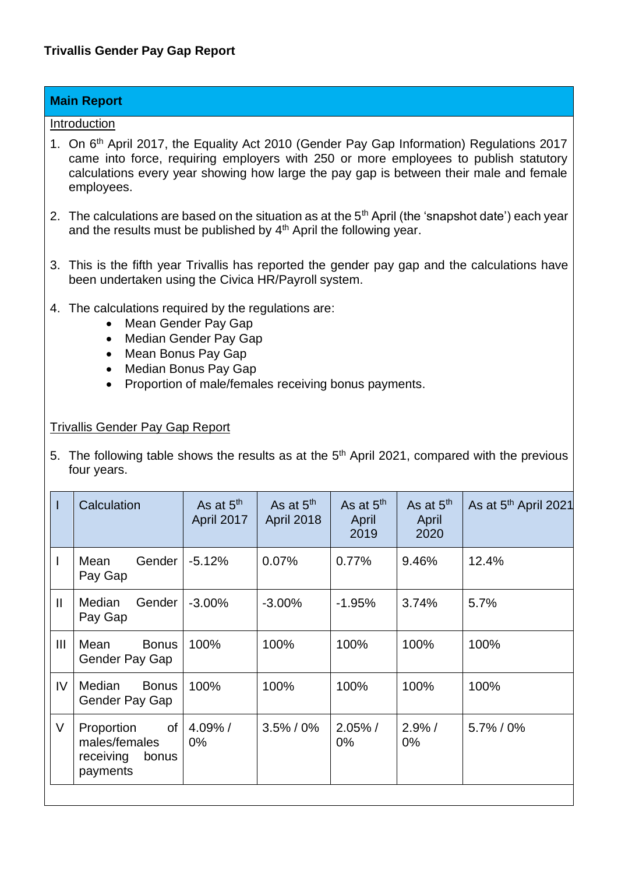## **Main Report**

## Introduction

- 1. On 6<sup>th</sup> April 2017, the Equality Act 2010 (Gender Pay Gap Information) Regulations 2017 came into force, requiring employers with 250 or more employees to publish statutory calculations every year showing how large the pay gap is between their male and female employees.
- 2. The calculations are based on the situation as at the  $5<sup>th</sup>$  April (the 'snapshot date') each year and the results must be published by 4<sup>th</sup> April the following year.
- 3. This is the fifth year Trivallis has reported the gender pay gap and the calculations have been undertaken using the Civica HR/Payroll system.
- 4. The calculations required by the regulations are:
	- Mean Gender Pay Gap
	- Median Gender Pay Gap
	- Mean Bonus Pay Gap
	- Median Bonus Pay Gap
	- Proportion of male/females receiving bonus payments.

## Trivallis Gender Pay Gap Report

5. The following table shows the results as at the  $5<sup>th</sup>$  April 2021, compared with the previous four years.

|                | Calculation                                                         | As at $5th$<br><b>April 2017</b> | As at $5th$<br>April 2018 | As at $5th$<br>April<br>2019 |                    | As at $5th$ April 2021 |  |
|----------------|---------------------------------------------------------------------|----------------------------------|---------------------------|------------------------------|--------------------|------------------------|--|
|                | Gender<br>Mean<br>Pay Gap                                           | $-5.12%$                         | 0.07%                     | 0.77%                        | 9.46%              | 12.4%                  |  |
| $\mathbf{II}$  | Gender<br>Median<br>Pay Gap                                         | $-3.00\%$                        | $-3.00\%$                 | $-1.95%$                     | 3.74%              | 5.7%                   |  |
| $\mathbf{III}$ | Mean<br><b>Bonus</b><br>Gender Pay Gap                              | 100%                             | 100%                      | 100%                         | 100%               | 100%                   |  |
| IV.            | Median<br><b>Bonus</b><br>Gender Pay Gap                            | 100%                             | 100%                      | 100%                         | 100%               | 100%                   |  |
| V              | of<br>Proportion<br>males/females<br>receiving<br>bonus<br>payments | 4.09%/<br>$0\%$                  | $3.5\% / 0\%$             | $2.05\%$ /<br>$0\%$          | $2.9\%$ /<br>$0\%$ | $5.7\% / 0\%$          |  |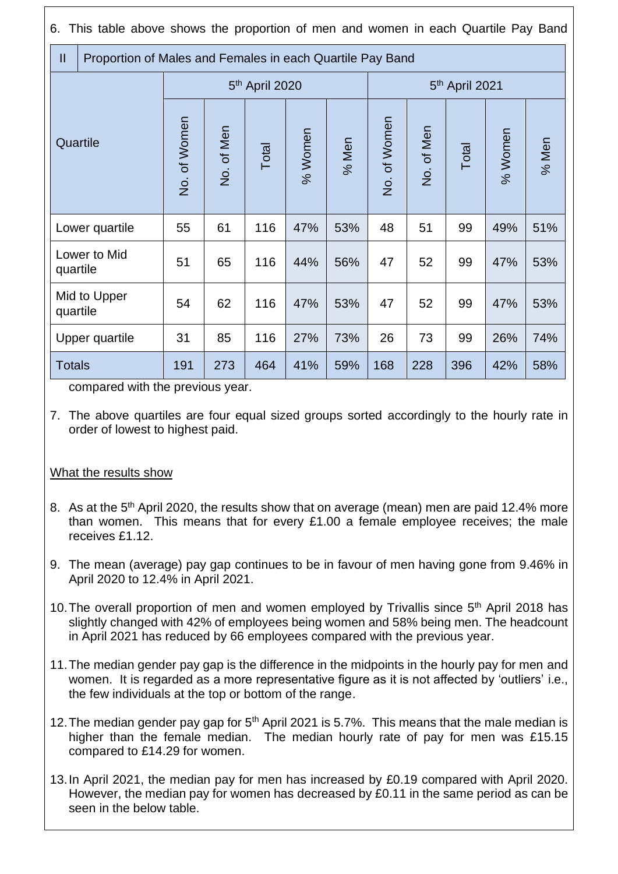6. This table above shows the proportion of men and women in each Quartile Pay Band

| $\mathbf{II}$            |  | Proportion of Males and Females in each Quartile Pay Band |            |       |         |       |                            |            |       |         |       |
|--------------------------|--|-----------------------------------------------------------|------------|-------|---------|-------|----------------------------|------------|-------|---------|-------|
| Quartile                 |  | 5 <sup>th</sup> April 2020                                |            |       |         |       | 5 <sup>th</sup> April 2021 |            |       |         |       |
|                          |  | No. of Women                                              | No. of Men | Total | % Women | % Men | No. of Women               | No. of Men | Total | % Women | % Men |
| Lower quartile           |  | 55                                                        | 61         | 116   | 47%     | 53%   | 48                         | 51         | 99    | 49%     | 51%   |
| Lower to Mid<br>quartile |  | 51                                                        | 65         | 116   | 44%     | 56%   | 47                         | 52         | 99    | 47%     | 53%   |
| Mid to Upper<br>quartile |  | 54                                                        | 62         | 116   | 47%     | 53%   | 47                         | 52         | 99    | 47%     | 53%   |
| Upper quartile           |  | 31                                                        | 85         | 116   | 27%     | 73%   | 26                         | 73         | 99    | 26%     | 74%   |
| <b>Totals</b>            |  | 191                                                       | 273        | 464   | 41%     | 59%   | 168                        | 228        | 396   | 42%     | 58%   |

compared with the previous year.

7. The above quartiles are four equal sized groups sorted accordingly to the hourly rate in order of lowest to highest paid.

## What the results show

- 8. As at the 5<sup>th</sup> April 2020, the results show that on average (mean) men are paid 12.4% more than women. This means that for every £1.00 a female employee receives; the male receives £1.12.
- 9. The mean (average) pay gap continues to be in favour of men having gone from 9.46% in April 2020 to 12.4% in April 2021.
- 10. The overall proportion of men and women emploved by Trivallis since 5<sup>th</sup> April 2018 has slightly changed with 42% of employees being women and 58% being men. The headcount in April 2021 has reduced by 66 employees compared with the previous year.
- 11.The median gender pay gap is the difference in the midpoints in the hourly pay for men and women. It is regarded as a more representative figure as it is not affected by 'outliers' i.e., the few individuals at the top or bottom of the range.
- 12. The median gender pay gap for 5<sup>th</sup> April 2021 is 5.7%. This means that the male median is higher than the female median. The median hourly rate of pay for men was £15.15 compared to £14.29 for women.
- 13.In April 2021, the median pay for men has increased by £0.19 compared with April 2020. However, the median pay for women has decreased by £0.11 in the same period as can be seen in the below table.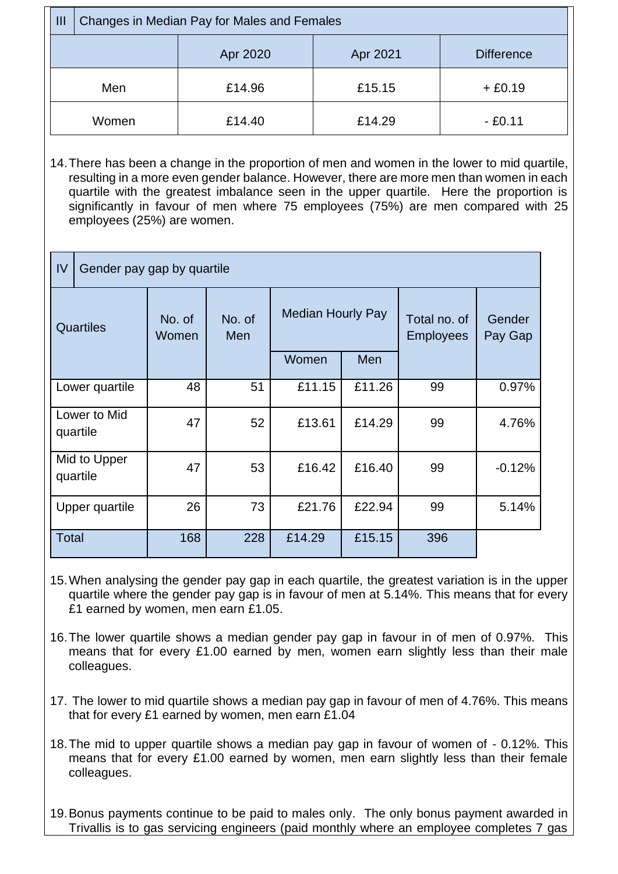| III   | Changes in Median Pay for Males and Females |          |          |                   |  |  |  |  |
|-------|---------------------------------------------|----------|----------|-------------------|--|--|--|--|
|       |                                             | Apr 2020 | Apr 2021 | <b>Difference</b> |  |  |  |  |
| Men   |                                             | £14.96   | £15.15   | $+£0.19$          |  |  |  |  |
| Women |                                             | £14.40   | £14.29   | $- E0.11$         |  |  |  |  |

14.There has been a change in the proportion of men and women in the lower to mid quartile, resulting in a more even gender balance. However, there are more men than women in each quartile with the greatest imbalance seen in the upper quartile. Here the proportion is significantly in favour of men where 75 employees (75%) are men compared with 25 employees (25%) are women.

| IV                       |  | Gender pay gap by quartile |               |                          |        |                                  |                   |  |  |  |
|--------------------------|--|----------------------------|---------------|--------------------------|--------|----------------------------------|-------------------|--|--|--|
| <b>Quartiles</b>         |  | No. of<br>Women            | No. of<br>Men | <b>Median Hourly Pay</b> |        | Total no. of<br><b>Employees</b> | Gender<br>Pay Gap |  |  |  |
|                          |  |                            |               | Women                    | Men    |                                  |                   |  |  |  |
| Lower quartile           |  | 48                         | 51            | £11.15                   | £11.26 | 99                               | 0.97%             |  |  |  |
| Lower to Mid<br>quartile |  | 47                         | 52            | £13.61                   | £14.29 | 99                               | 4.76%             |  |  |  |
| Mid to Upper<br>quartile |  | 47                         | 53            | £16.42                   | £16.40 | 99                               | $-0.12%$          |  |  |  |
| Upper quartile           |  | 26                         | 73            | £21.76                   | £22.94 | 99                               | 5.14%             |  |  |  |
| Total                    |  | 168                        | 228           | £14.29                   | £15.15 | 396                              |                   |  |  |  |

- 15.When analysing the gender pay gap in each quartile, the greatest variation is in the upper quartile where the gender pay gap is in favour of men at 5.14%. This means that for every £1 earned by women, men earn £1.05.
- 16.The lower quartile shows a median gender pay gap in favour in of men of 0.97%. This means that for every £1.00 earned by men, women earn slightly less than their male colleagues.
- 17. The lower to mid quartile shows a median pay gap in favour of men of 4.76%. This means that for every £1 earned by women, men earn £1.04
- 18.The mid to upper quartile shows a median pay gap in favour of women of 0.12%. This means that for every £1.00 earned by women, men earn slightly less than their female colleagues.
- 19.Bonus payments continue to be paid to males only. The only bonus payment awarded in Trivallis is to gas servicing engineers (paid monthly where an employee completes 7 gas